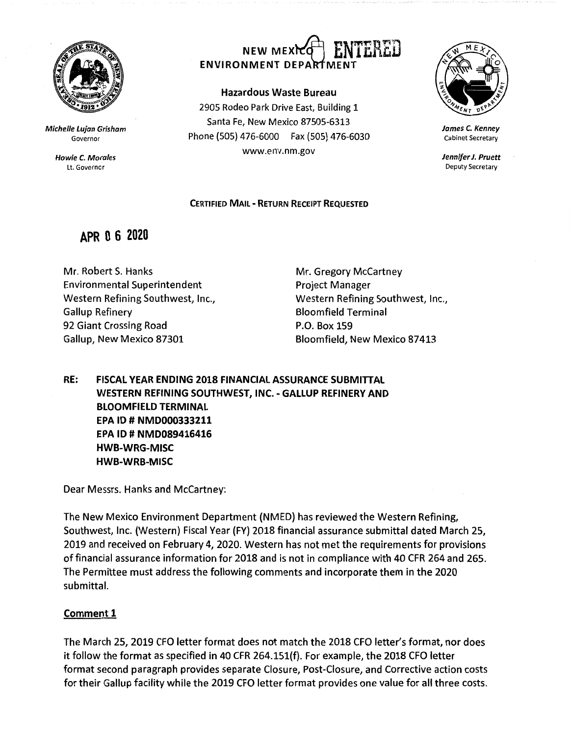

**Michelle Lujan Grisham**  Governor

> **Howie C. Morales**  Lt. Governor

# NEW MEXIC<sup>H</sup> FNTERED ENVIRONMENT DEPARTMENT

### **Hazardous Waste Bureau**

2905 Rodeo Park Drive East, Building 1 Santa Fe, New Mexico 87505-6313 Phone (505) 476-6000 Fax (505) 476-6030 www.env.nm.gov



**James** *C.* **Kenney**  Cabinet Secretary

**Jennifer J. Pruett**  Deputy Secretary

### **CERTIFIED MAIL** - **RETURN RECEIPT REQUESTED**

## **APR O 6 2020**

Mr. Robert S. Hanks Environmental Superintendent Western Refining Southwest, Inc., Gallup Refinery 92 Giant Crossing Road Gallup, New Mexico 87301

Mr. Gregory McCartney Project Manager Western Refining Southwest, Inc., Bloomfield Terminal P.O. Box 159 Bloomfield, New Mexico 87413

**RE: FISCAL YEAR ENDING 2018 FINANCIAL ASSURANCE SUBMITTAL WESTERN REFINING SOUTHWEST, INC.** - **GALLUP REFINERY AND BLOOMFIELD TERMINAL EPA** ID# **NMD000333211 EPA ID# NMD089416416 HWB-WRG-MISC HWB-WRB-MISC** 

Dear Messrs. Hanks and McCartney:

The New Mexico Environment Department {NMED) has reviewed the Western Refining, Southwest, Inc. {Western) Fiscal Year {FY) 2018 financial assurance submittal dated March 25, 2019 and received on February 4, 2020. Western has not met the requirements for provisions of financial assurance information for 2018 and is not in compliance with 40 CFR 264 and 265. The Permittee must address the following comments and incorporate them in the 2020 submittal.

### **Comment 1**

The March 25, 2019 CFO letter format does not match the 2018 CFO letter's format, nor does it follow the format as specified in 40 CFR 264.151{f). For example, the 2018 CFO letter format second paragraph provides separate Closure, Post-Closure, and Corrective action costs for their Gallup facility while the 2019 CFO letter format provides one value for all three costs.